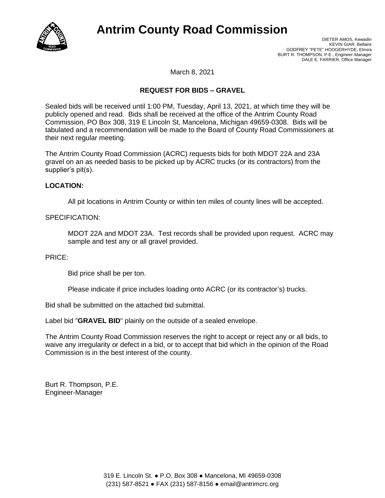

# **Antrim County Road Commission**

DIETER AMOS, Kewadin KEVIN GIAR, Bellaire GODFREY "PETE" HOOGERHYDE, Elmira BURT R. THOMPSON, P.E., Engineer-Manager DALE E. FARRIER, Office Manager

March 8, 2021

## **REQUEST FOR BIDS – GRAVEL**

Sealed bids will be received until 1:00 PM, Tuesday, April 13, 2021, at which time they will be publicly opened and read. Bids shall be received at the office of the Antrim County Road Commission, PO Box 308, 319 E Lincoln St, Mancelona, Michigan 49659-0308. Bids will be tabulated and a recommendation will be made to the Board of County Road Commissioners at their next regular meeting.

The Antrim County Road Commission (ACRC) requests bids for both MDOT 22A and 23A gravel on an as needed basis to be picked up by ACRC trucks (or its contractors) from the supplier's pit(s).

### **LOCATION:**

All pit locations in Antrim County or within ten miles of county lines will be accepted.

### SPECIFICATION:

MDOT 22A and MDOT 23A. Test records shall be provided upon request. ACRC may sample and test any or all gravel provided.

#### PRICE:

Bid price shall be per ton.

Please indicate if price includes loading onto ACRC (or its contractor's) trucks.

Bid shall be submitted on the attached bid submittal.

Label bid "**GRAVEL BID**" plainly on the outside of a sealed envelope.

The Antrim County Road Commission reserves the right to accept or reject any or all bids, to waive any irregularity or defect in a bid, or to accept that bid which in the opinion of the Road Commission is in the best interest of the county.

Burt R. Thompson, P.E. Engineer-Manager